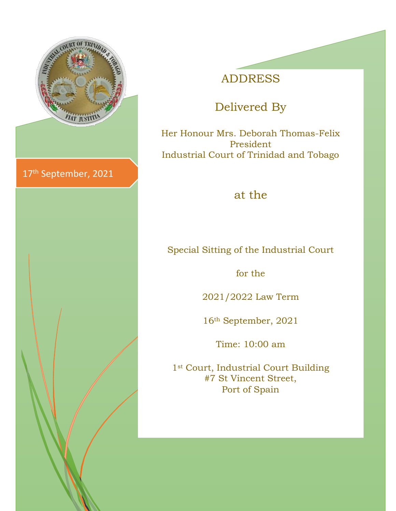

## ADDRESS

# Delivered By

Her Honour Mrs. Deborah Thomas-Felix President Industrial Court of Trinidad and Tobago

#### at the

Special Sitting of the Industrial Court

for the

2021/2022 Law Term

16th September, 2021

Time: 10:00 am

1<sup>st</sup> Court, Industrial Court Building #7 St Vincent Street, Port of Spain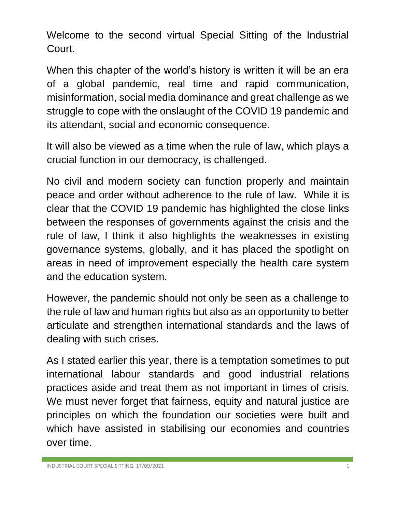Welcome to the second virtual Special Sitting of the Industrial Court.

When this chapter of the world's history is written it will be an era of a global pandemic, real time and rapid communication, misinformation, social media dominance and great challenge as we struggle to cope with the onslaught of the COVID 19 pandemic and its attendant, social and economic consequence.

It will also be viewed as a time when the rule of law, which plays a crucial function in our democracy, is challenged.

No civil and modern society can function properly and maintain peace and order without adherence to the rule of law. While it is clear that the COVID 19 pandemic has highlighted the close links between the responses of governments against the crisis and the rule of law, I think it also highlights the weaknesses in existing governance systems, globally, and it has placed the spotlight on areas in need of improvement especially the health care system and the education system.

However, the pandemic should not only be seen as a challenge to the rule of law and human rights but also as an opportunity to better articulate and strengthen international standards and the laws of dealing with such crises.

As I stated earlier this year, there is a temptation sometimes to put international labour standards and good industrial relations practices aside and treat them as not important in times of crisis. We must never forget that fairness, equity and natural justice are principles on which the foundation our societies were built and which have assisted in stabilising our economies and countries over time.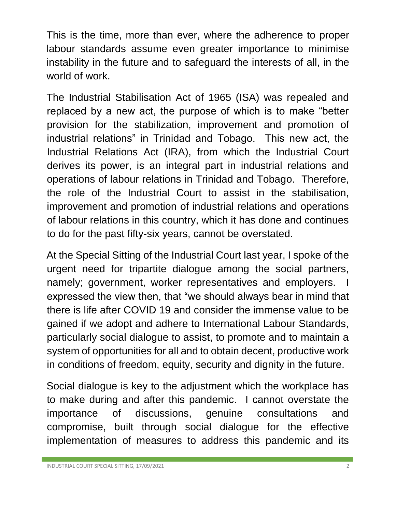This is the time, more than ever, where the adherence to proper labour standards assume even greater importance to minimise instability in the future and to safeguard the interests of all, in the world of work.

The Industrial Stabilisation Act of 1965 (ISA) was repealed and replaced by a new act, the purpose of which is to make "better provision for the stabilization, improvement and promotion of industrial relations" in Trinidad and Tobago. This new act, the Industrial Relations Act (IRA), from which the Industrial Court derives its power, is an integral part in industrial relations and operations of labour relations in Trinidad and Tobago. Therefore, the role of the Industrial Court to assist in the stabilisation, improvement and promotion of industrial relations and operations of labour relations in this country, which it has done and continues to do for the past fifty-six years, cannot be overstated.

At the Special Sitting of the Industrial Court last year, I spoke of the urgent need for tripartite dialogue among the social partners, namely; government, worker representatives and employers. expressed the view then, that "we should always bear in mind that there is life after COVID 19 and consider the immense value to be gained if we adopt and adhere to International Labour Standards, particularly social dialogue to assist, to promote and to maintain a system of opportunities for all and to obtain decent, productive work in conditions of freedom, equity, security and dignity in the future.

Social dialogue is key to the adjustment which the workplace has to make during and after this pandemic. I cannot overstate the importance of discussions, genuine consultations and compromise, built through social dialogue for the effective implementation of measures to address this pandemic and its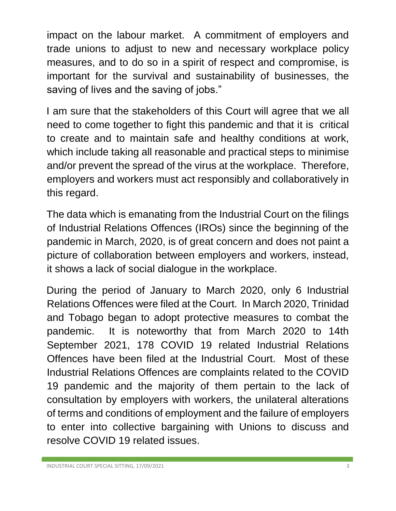impact on the labour market. A commitment of employers and trade unions to adjust to new and necessary workplace policy measures, and to do so in a spirit of respect and compromise, is important for the survival and sustainability of businesses, the saving of lives and the saving of jobs."

I am sure that the stakeholders of this Court will agree that we all need to come together to fight this pandemic and that it is critical to create and to maintain safe and healthy conditions at work, which include taking all reasonable and practical steps to minimise and/or prevent the spread of the virus at the workplace. Therefore, employers and workers must act responsibly and collaboratively in this regard.

The data which is emanating from the Industrial Court on the filings of Industrial Relations Offences (IROs) since the beginning of the pandemic in March, 2020, is of great concern and does not paint a picture of collaboration between employers and workers, instead, it shows a lack of social dialogue in the workplace.

During the period of January to March 2020, only 6 Industrial Relations Offences were filed at the Court. In March 2020, Trinidad and Tobago began to adopt protective measures to combat the pandemic. It is noteworthy that from March 2020 to 14th September 2021, 178 COVID 19 related Industrial Relations Offences have been filed at the Industrial Court. Most of these Industrial Relations Offences are complaints related to the COVID 19 pandemic and the majority of them pertain to the lack of consultation by employers with workers, the unilateral alterations of terms and conditions of employment and the failure of employers to enter into collective bargaining with Unions to discuss and resolve COVID 19 related issues.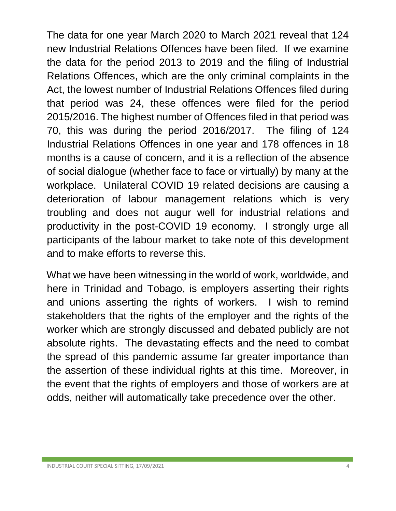The data for one year March 2020 to March 2021 reveal that 124 new Industrial Relations Offences have been filed. If we examine the data for the period 2013 to 2019 and the filing of Industrial Relations Offences, which are the only criminal complaints in the Act, the lowest number of Industrial Relations Offences filed during that period was 24, these offences were filed for the period 2015/2016. The highest number of Offences filed in that period was 70, this was during the period 2016/2017. The filing of 124 Industrial Relations Offences in one year and 178 offences in 18 months is a cause of concern, and it is a reflection of the absence of social dialogue (whether face to face or virtually) by many at the workplace. Unilateral COVID 19 related decisions are causing a deterioration of labour management relations which is very troubling and does not augur well for industrial relations and productivity in the post-COVID 19 economy. I strongly urge all participants of the labour market to take note of this development and to make efforts to reverse this.

What we have been witnessing in the world of work, worldwide, and here in Trinidad and Tobago, is employers asserting their rights and unions asserting the rights of workers. I wish to remind stakeholders that the rights of the employer and the rights of the worker which are strongly discussed and debated publicly are not absolute rights. The devastating effects and the need to combat the spread of this pandemic assume far greater importance than the assertion of these individual rights at this time. Moreover, in the event that the rights of employers and those of workers are at odds, neither will automatically take precedence over the other.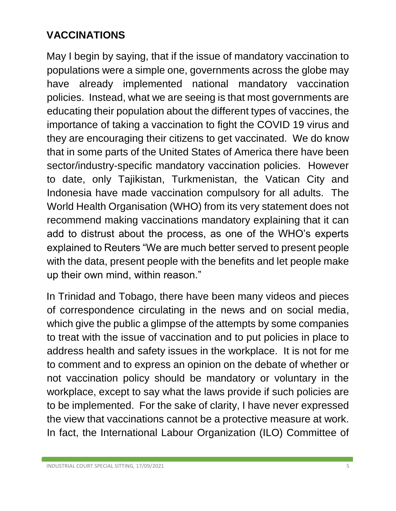## **VACCINATIONS**

May I begin by saying, that if the issue of mandatory vaccination to populations were a simple one, governments across the globe may have already implemented national mandatory vaccination policies. Instead, what we are seeing is that most governments are educating their population about the different types of vaccines, the importance of taking a vaccination to fight the COVID 19 virus and they are encouraging their citizens to get vaccinated. We do know that in some parts of the United States of America there have been sector/industry-specific mandatory vaccination policies. However to date, only Tajikistan, Turkmenistan, the Vatican City and Indonesia have made vaccination compulsory for all adults. The World Health Organisation (WHO) from its very statement does not recommend making vaccinations mandatory explaining that it can add to distrust about the process, as one of the WHO's experts explained to Reuters "We are much better served to present people with the data, present people with the benefits and let people make up their own mind, within reason."

In Trinidad and Tobago, there have been many videos and pieces of correspondence circulating in the news and on social media, which give the public a glimpse of the attempts by some companies to treat with the issue of vaccination and to put policies in place to address health and safety issues in the workplace. It is not for me to comment and to express an opinion on the debate of whether or not vaccination policy should be mandatory or voluntary in the workplace, except to say what the laws provide if such policies are to be implemented. For the sake of clarity, I have never expressed the view that vaccinations cannot be a protective measure at work. In fact, the International Labour Organization (ILO) Committee of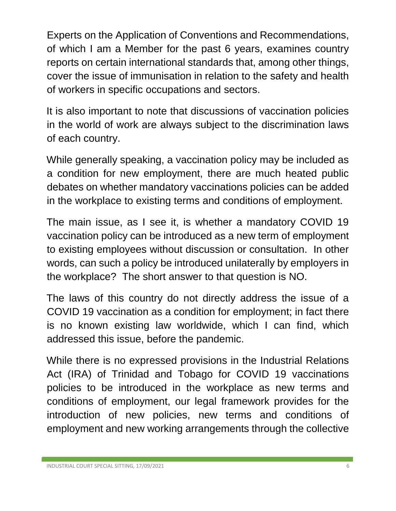Experts on the Application of Conventions and Recommendations, of which I am a Member for the past 6 years, examines country reports on certain international standards that, among other things, cover the issue of immunisation in relation to the safety and health of workers in specific occupations and sectors.

It is also important to note that discussions of vaccination policies in the world of work are always subject to the discrimination laws of each country.

While generally speaking, a vaccination policy may be included as a condition for new employment, there are much heated public debates on whether mandatory vaccinations policies can be added in the workplace to existing terms and conditions of employment.

The main issue, as I see it, is whether a mandatory COVID 19 vaccination policy can be introduced as a new term of employment to existing employees without discussion or consultation. In other words, can such a policy be introduced unilaterally by employers in the workplace? The short answer to that question is NO.

The laws of this country do not directly address the issue of a COVID 19 vaccination as a condition for employment; in fact there is no known existing law worldwide, which I can find, which addressed this issue, before the pandemic.

While there is no expressed provisions in the Industrial Relations Act (IRA) of Trinidad and Tobago for COVID 19 vaccinations policies to be introduced in the workplace as new terms and conditions of employment, our legal framework provides for the introduction of new policies, new terms and conditions of employment and new working arrangements through the collective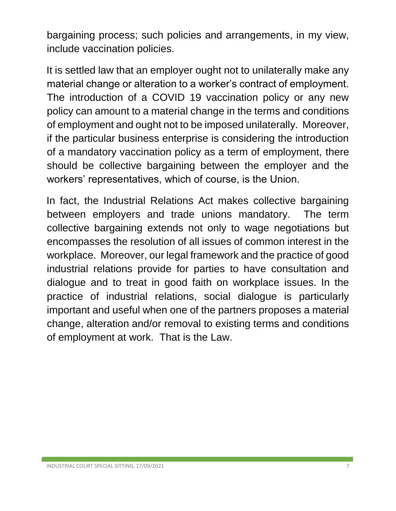bargaining process; such policies and arrangements, in my view, include vaccination policies.

It is settled law that an employer ought not to unilaterally make any material change or alteration to a worker's contract of employment. The introduction of a COVID 19 vaccination policy or any new policy can amount to a material change in the terms and conditions of employment and ought not to be imposed unilaterally. Moreover, if the particular business enterprise is considering the introduction of a mandatory vaccination policy as a term of employment, there should be collective bargaining between the employer and the workers' representatives, which of course, is the Union.

In fact, the Industrial Relations Act makes collective bargaining between employers and trade unions mandatory. The term collective bargaining extends not only to wage negotiations but encompasses the resolution of all issues of common interest in the workplace. Moreover, our legal framework and the practice of good industrial relations provide for parties to have consultation and dialogue and to treat in good faith on workplace issues. In the practice of industrial relations, social dialogue is particularly important and useful when one of the partners proposes a material change, alteration and/or removal to existing terms and conditions of employment at work. That is the Law.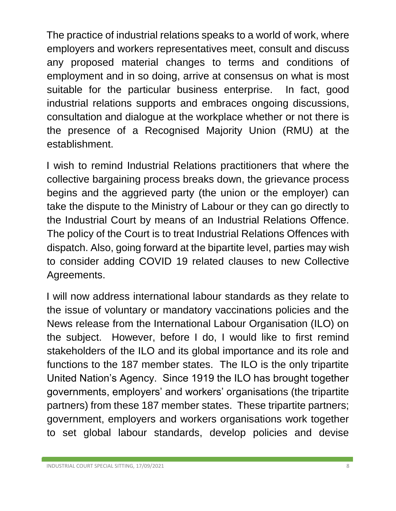The practice of industrial relations speaks to a world of work, where employers and workers representatives meet, consult and discuss any proposed material changes to terms and conditions of employment and in so doing, arrive at consensus on what is most suitable for the particular business enterprise. In fact, good industrial relations supports and embraces ongoing discussions, consultation and dialogue at the workplace whether or not there is the presence of a Recognised Majority Union (RMU) at the establishment.

I wish to remind Industrial Relations practitioners that where the collective bargaining process breaks down, the grievance process begins and the aggrieved party (the union or the employer) can take the dispute to the Ministry of Labour or they can go directly to the Industrial Court by means of an Industrial Relations Offence. The policy of the Court is to treat Industrial Relations Offences with dispatch. Also, going forward at the bipartite level, parties may wish to consider adding COVID 19 related clauses to new Collective Agreements.

I will now address international labour standards as they relate to the issue of voluntary or mandatory vaccinations policies and the News release from the International Labour Organisation (ILO) on the subject. However, before I do, I would like to first remind stakeholders of the ILO and its global importance and its role and functions to the 187 member states. The ILO is the only tripartite United Nation's Agency. Since 1919 the ILO has brought together governments, employers' and workers' organisations (the tripartite partners) from these 187 member states. These tripartite partners; government, employers and workers organisations work together to set global labour standards, develop policies and devise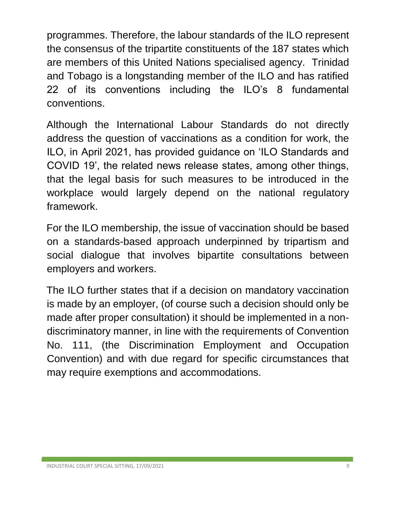programmes. Therefore, the labour standards of the ILO represent the consensus of the tripartite constituents of the 187 states which are members of this United Nations specialised agency. Trinidad and Tobago is a longstanding member of the ILO and has ratified 22 of its conventions including the ILO's 8 fundamental conventions.

Although the International Labour Standards do not directly address the question of vaccinations as a condition for work, the ILO, in April 2021, has provided guidance on 'ILO Standards and COVID 19', the related news release states, among other things, that the legal basis for such measures to be introduced in the workplace would largely depend on the national regulatory framework.

For the ILO membership, the issue of vaccination should be based on a standards-based approach underpinned by tripartism and social dialogue that involves bipartite consultations between employers and workers.

The ILO further states that if a decision on mandatory vaccination is made by an employer, (of course such a decision should only be made after proper consultation) it should be implemented in a nondiscriminatory manner, in line with the requirements of Convention No. 111, (the Discrimination Employment and Occupation Convention) and with due regard for specific circumstances that may require exemptions and accommodations.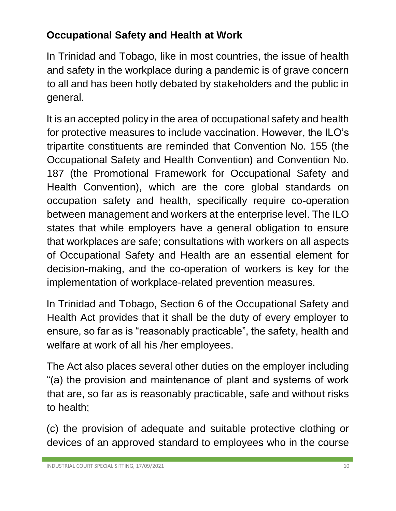## **Occupational Safety and Health at Work**

In Trinidad and Tobago, like in most countries, the issue of health and safety in the workplace during a pandemic is of grave concern to all and has been hotly debated by stakeholders and the public in general.

It is an accepted policy in the area of occupational safety and health for protective measures to include vaccination. However, the ILO's tripartite constituents are reminded that Convention No. 155 (the Occupational Safety and Health Convention) and Convention No. 187 (the Promotional Framework for Occupational Safety and Health Convention), which are the core global standards on occupation safety and health, specifically require co-operation between management and workers at the enterprise level. The ILO states that while employers have a general obligation to ensure that workplaces are safe; consultations with workers on all aspects of Occupational Safety and Health are an essential element for decision-making, and the co-operation of workers is key for the implementation of workplace-related prevention measures.

In Trinidad and Tobago, Section 6 of the Occupational Safety and Health Act provides that it shall be the duty of every employer to ensure, so far as is "reasonably practicable", the safety, health and welfare at work of all his /her employees.

The Act also places several other duties on the employer including "(a) the provision and maintenance of plant and systems of work that are, so far as is reasonably practicable, safe and without risks to health;

(c) the provision of adequate and suitable protective clothing or devices of an approved standard to employees who in the course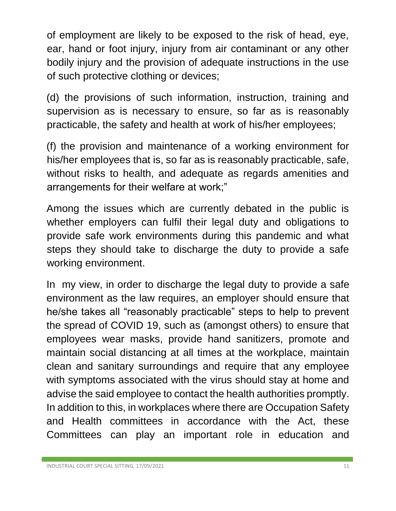of employment are likely to be exposed to the risk of head, eye, ear, hand or foot injury, injury from air contaminant or any other bodily injury and the provision of adequate instructions in the use of such protective clothing or devices;

(d) the provisions of such information, instruction, training and supervision as is necessary to ensure, so far as is reasonably practicable, the safety and health at work of his/her employees;

(f) the provision and maintenance of a working environment for his/her employees that is, so far as is reasonably practicable, safe, without risks to health, and adequate as regards amenities and arrangements for their welfare at work;"

Among the issues which are currently debated in the public is whether employers can fulfil their legal duty and obligations to provide safe work environments during this pandemic and what steps they should take to discharge the duty to provide a safe working environment.

In my view, in order to discharge the legal duty to provide a safe environment as the law requires, an employer should ensure that he/she takes all "reasonably practicable" steps to help to prevent the spread of COVID 19, such as (amongst others) to ensure that employees wear masks, provide hand sanitizers, promote and maintain social distancing at all times at the workplace, maintain clean and sanitary surroundings and require that any employee with symptoms associated with the virus should stay at home and advise the said employee to contact the health authorities promptly. In addition to this, in workplaces where there are Occupation Safety and Health committees in accordance with the Act, these Committees can play an important role in education and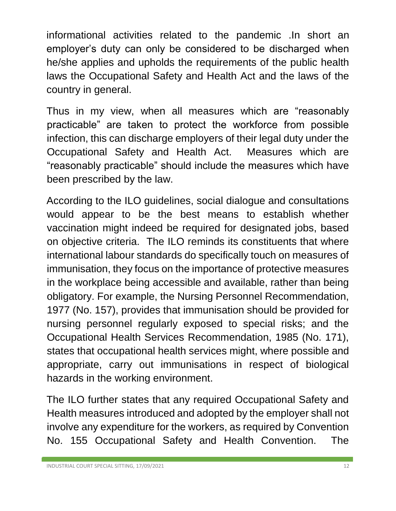informational activities related to the pandemic .In short an employer's duty can only be considered to be discharged when he/she applies and upholds the requirements of the public health laws the Occupational Safety and Health Act and the laws of the country in general.

Thus in my view, when all measures which are "reasonably practicable" are taken to protect the workforce from possible infection, this can discharge employers of their legal duty under the Occupational Safety and Health Act. Measures which are "reasonably practicable" should include the measures which have been prescribed by the law.

According to the ILO guidelines, social dialogue and consultations would appear to be the best means to establish whether vaccination might indeed be required for designated jobs, based on objective criteria. The ILO reminds its constituents that where international labour standards do specifically touch on measures of immunisation, they focus on the importance of protective measures in the workplace being accessible and available, rather than being obligatory. For example, the Nursing Personnel Recommendation, 1977 (No. 157), provides that immunisation should be provided for nursing personnel regularly exposed to special risks; and the Occupational Health Services Recommendation, 1985 (No. 171), states that occupational health services might, where possible and appropriate, carry out immunisations in respect of biological hazards in the working environment.

The ILO further states that any required Occupational Safety and Health measures introduced and adopted by the employer shall not involve any expenditure for the workers, as required by Convention No. 155 Occupational Safety and Health Convention. The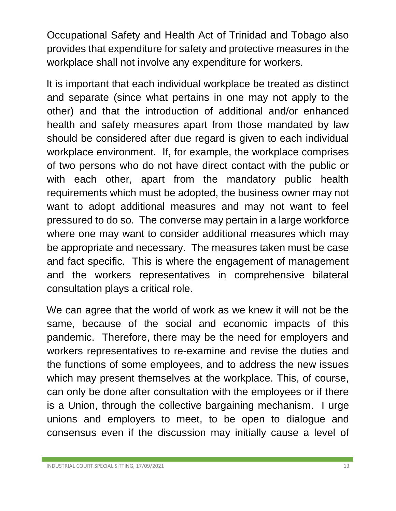Occupational Safety and Health Act of Trinidad and Tobago also provides that expenditure for safety and protective measures in the workplace shall not involve any expenditure for workers.

It is important that each individual workplace be treated as distinct and separate (since what pertains in one may not apply to the other) and that the introduction of additional and/or enhanced health and safety measures apart from those mandated by law should be considered after due regard is given to each individual workplace environment. If, for example, the workplace comprises of two persons who do not have direct contact with the public or with each other, apart from the mandatory public health requirements which must be adopted, the business owner may not want to adopt additional measures and may not want to feel pressured to do so. The converse may pertain in a large workforce where one may want to consider additional measures which may be appropriate and necessary. The measures taken must be case and fact specific. This is where the engagement of management and the workers representatives in comprehensive bilateral consultation plays a critical role.

We can agree that the world of work as we knew it will not be the same, because of the social and economic impacts of this pandemic. Therefore, there may be the need for employers and workers representatives to re-examine and revise the duties and the functions of some employees, and to address the new issues which may present themselves at the workplace. This, of course, can only be done after consultation with the employees or if there is a Union, through the collective bargaining mechanism. I urge unions and employers to meet, to be open to dialogue and consensus even if the discussion may initially cause a level of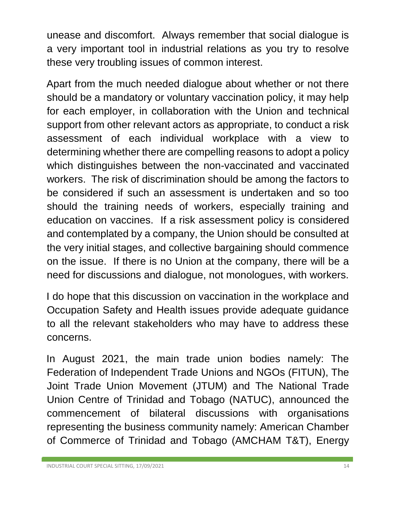unease and discomfort. Always remember that social dialogue is a very important tool in industrial relations as you try to resolve these very troubling issues of common interest.

Apart from the much needed dialogue about whether or not there should be a mandatory or voluntary vaccination policy, it may help for each employer, in collaboration with the Union and technical support from other relevant actors as appropriate, to conduct a risk assessment of each individual workplace with a view to determining whether there are compelling reasons to adopt a policy which distinguishes between the non-vaccinated and vaccinated workers. The risk of discrimination should be among the factors to be considered if such an assessment is undertaken and so too should the training needs of workers, especially training and education on vaccines. If a risk assessment policy is considered and contemplated by a company, the Union should be consulted at the very initial stages, and collective bargaining should commence on the issue. If there is no Union at the company, there will be a need for discussions and dialogue, not monologues, with workers.

I do hope that this discussion on vaccination in the workplace and Occupation Safety and Health issues provide adequate guidance to all the relevant stakeholders who may have to address these concerns.

In August 2021, the main trade union bodies namely: The Federation of Independent Trade Unions and NGOs (FITUN), The Joint Trade Union Movement (JTUM) and The National Trade Union Centre of Trinidad and Tobago (NATUC), announced the commencement of bilateral discussions with organisations representing the business community namely: American Chamber of Commerce of Trinidad and Tobago (AMCHAM T&T), Energy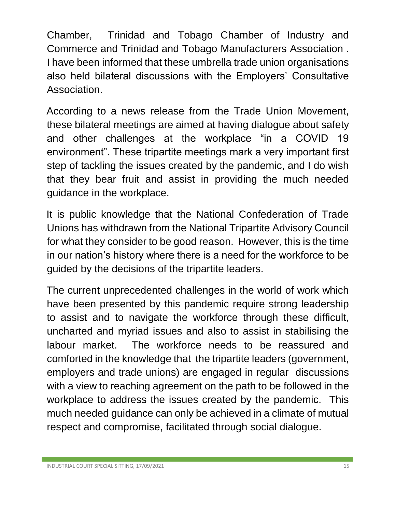Chamber, Trinidad and Tobago Chamber of Industry and Commerce and Trinidad and Tobago Manufacturers Association . I have been informed that these umbrella trade union organisations also held bilateral discussions with the Employers' Consultative Association.

According to a news release from the Trade Union Movement, these bilateral meetings are aimed at having dialogue about safety and other challenges at the workplace "in a COVID 19 environment". These tripartite meetings mark a very important first step of tackling the issues created by the pandemic, and I do wish that they bear fruit and assist in providing the much needed guidance in the workplace.

It is public knowledge that the National Confederation of Trade Unions has withdrawn from the National Tripartite Advisory Council for what they consider to be good reason. However, this is the time in our nation's history where there is a need for the workforce to be guided by the decisions of the tripartite leaders.

The current unprecedented challenges in the world of work which have been presented by this pandemic require strong leadership to assist and to navigate the workforce through these difficult, uncharted and myriad issues and also to assist in stabilising the labour market. The workforce needs to be reassured and comforted in the knowledge that the tripartite leaders (government, employers and trade unions) are engaged in regular discussions with a view to reaching agreement on the path to be followed in the workplace to address the issues created by the pandemic. This much needed guidance can only be achieved in a climate of mutual respect and compromise, facilitated through social dialogue.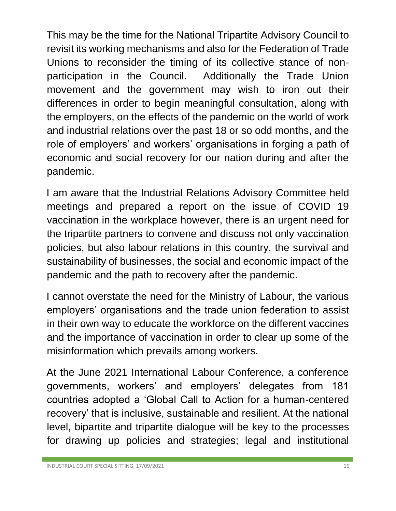This may be the time for the National Tripartite Advisory Council to revisit its working mechanisms and also for the Federation of Trade Unions to reconsider the timing of its collective stance of nonparticipation in the Council. Additionally the Trade Union movement and the government may wish to iron out their differences in order to begin meaningful consultation, along with the employers, on the effects of the pandemic on the world of work and industrial relations over the past 18 or so odd months, and the role of employers' and workers' organisations in forging a path of economic and social recovery for our nation during and after the pandemic.

I am aware that the Industrial Relations Advisory Committee held meetings and prepared a report on the issue of COVID 19 vaccination in the workplace however, there is an urgent need for the tripartite partners to convene and discuss not only vaccination policies, but also labour relations in this country, the survival and sustainability of businesses, the social and economic impact of the pandemic and the path to recovery after the pandemic.

I cannot overstate the need for the Ministry of Labour, the various employers' organisations and the trade union federation to assist in their own way to educate the workforce on the different vaccines and the importance of vaccination in order to clear up some of the misinformation which prevails among workers.

At the June 2021 International Labour Conference, a conference governments, workers' and employers' delegates from 181 countries adopted a 'Global Call to Action for a human-centered recovery' that is inclusive, sustainable and resilient. At the national level, bipartite and tripartite dialogue will be key to the processes for drawing up policies and strategies; legal and institutional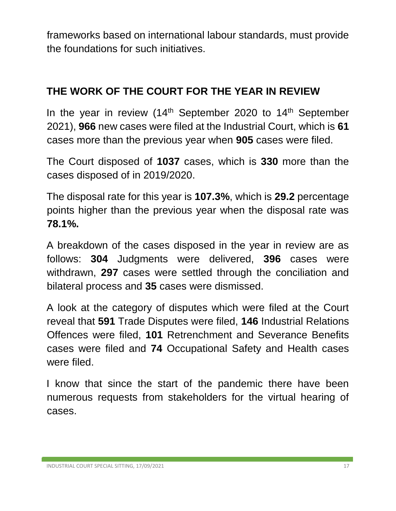frameworks based on international labour standards, must provide the foundations for such initiatives.

#### **THE WORK OF THE COURT FOR THE YEAR IN REVIEW**

In the year in review  $(14<sup>th</sup>$  September 2020 to  $14<sup>th</sup>$  September 2021), **966** new cases were filed at the Industrial Court, which is **61** cases more than the previous year when **905** cases were filed.

The Court disposed of **1037** cases, which is **330** more than the cases disposed of in 2019/2020.

The disposal rate for this year is **107.3%**, which is **29.2** percentage points higher than the previous year when the disposal rate was **78.1%.**

A breakdown of the cases disposed in the year in review are as follows: **304** Judgments were delivered, **396** cases were withdrawn, **297** cases were settled through the conciliation and bilateral process and **35** cases were dismissed.

A look at the category of disputes which were filed at the Court reveal that **591** Trade Disputes were filed, **146** Industrial Relations Offences were filed, **101** Retrenchment and Severance Benefits cases were filed and **74** Occupational Safety and Health cases were filed.

I know that since the start of the pandemic there have been numerous requests from stakeholders for the virtual hearing of cases.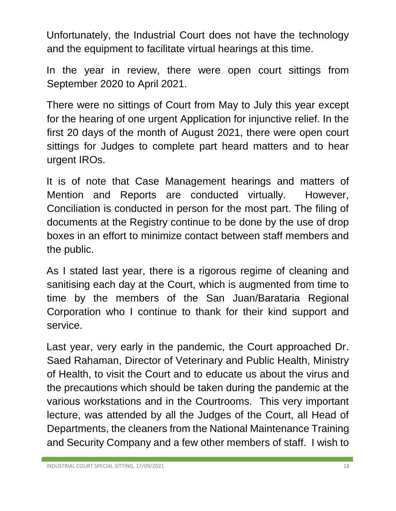Unfortunately, the Industrial Court does not have the technology and the equipment to facilitate virtual hearings at this time.

In the year in review, there were open court sittings from September 2020 to April 2021.

There were no sittings of Court from May to July this year except for the hearing of one urgent Application for injunctive relief. In the first 20 days of the month of August 2021, there were open court sittings for Judges to complete part heard matters and to hear urgent IROs.

It is of note that Case Management hearings and matters of Mention and Reports are conducted virtually. However, Conciliation is conducted in person for the most part. The filing of documents at the Registry continue to be done by the use of drop boxes in an effort to minimize contact between staff members and the public.

As I stated last year, there is a rigorous regime of cleaning and sanitising each day at the Court, which is augmented from time to time by the members of the San Juan/Barataria Regional Corporation who I continue to thank for their kind support and service.

Last year, very early in the pandemic, the Court approached Dr. Saed Rahaman, Director of Veterinary and Public Health, Ministry of Health, to visit the Court and to educate us about the virus and the precautions which should be taken during the pandemic at the various workstations and in the Courtrooms. This very important lecture, was attended by all the Judges of the Court, all Head of Departments, the cleaners from the National Maintenance Training and Security Company and a few other members of staff. I wish to